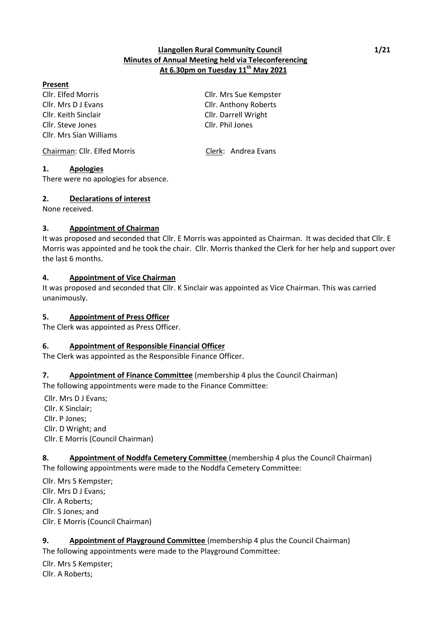## **Llangollen Rural Community Council 1/21 Minutes of Annual Meeting held via Teleconferencing At 6.30pm on Tuesday 11th May 2021**

## **Present**

Cllr. Mrs D J Evans Cllr. Anthony Roberts Cllr. Keith Sinclair Cllr. Darrell Wright Cllr. Steve Jones Cllr. Phil Jones Cllr. Mrs Sian Williams

Cllr. Elfed Morris Cllr. Mrs Sue Kempster

Chairman: Cllr. Elfed Morris Clerk: Andrea Evans

# **1. Apologies**

There were no apologies for absence.

## **2. Declarations of interest**

None received.

## **3. Appointment of Chairman**

It was proposed and seconded that Cllr. E Morris was appointed as Chairman. It was decided that Cllr. E Morris was appointed and he took the chair. Cllr. Morris thanked the Clerk for her help and support over the last 6 months.

## **4. Appointment of Vice Chairman**

It was proposed and seconded that Cllr. K Sinclair was appointed as Vice Chairman. This was carried unanimously.

## **5. Appointment of Press Officer**

The Clerk was appointed as Press Officer.

## **6. Appointment of Responsible Financial Officer**

The Clerk was appointed as the Responsible Finance Officer.

# **7. Appointment of Finance Committee** (membership 4 plus the Council Chairman)

The following appointments were made to the Finance Committee:

Cllr. Mrs D J Evans; Cllr. K Sinclair; Cllr. P Jones; Cllr. D Wright; and Cllr. E Morris (Council Chairman)

## **8. Appointment of Noddfa Cemetery Committee** (membership 4 plus the Council Chairman) The following appointments were made to the Noddfa Cemetery Committee:

Cllr. Mrs S Kempster; Cllr. Mrs D J Evans; Cllr. A Roberts; Cllr. S Jones; and Cllr. E Morris (Council Chairman)

# **9. Appointment of Playground Committee** (membership 4 plus the Council Chairman)

The following appointments were made to the Playground Committee:

Cllr. Mrs S Kempster;

Cllr. A Roberts;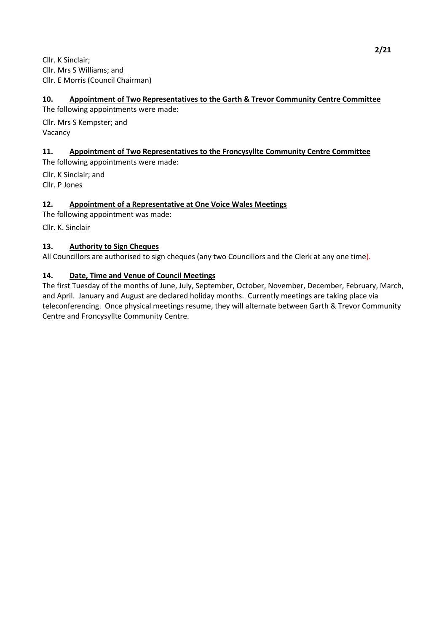Cllr. K Sinclair; Cllr. Mrs S Williams; and Cllr. E Morris (Council Chairman)

## **10. Appointment of Two Representatives to the Garth & Trevor Community Centre Committee**

The following appointments were made:

Cllr. Mrs S Kempster; and Vacancy

## **11. Appointment of Two Representatives to the Froncysyllte Community Centre Committee**

The following appointments were made:

Cllr. K Sinclair; and Cllr. P Jones

## **12. Appointment of a Representative at One Voice Wales Meetings**

The following appointment was made:

Cllr. K. Sinclair

## **13. Authority to Sign Cheques**

All Councillors are authorised to sign cheques (any two Councillors and the Clerk at any one time).

## **14. Date, Time and Venue of Council Meetings**

The first Tuesday of the months of June, July, September, October, November, December, February, March, and April. January and August are declared holiday months. Currently meetings are taking place via teleconferencing. Once physical meetings resume, they will alternate between Garth & Trevor Community Centre and Froncysyllte Community Centre.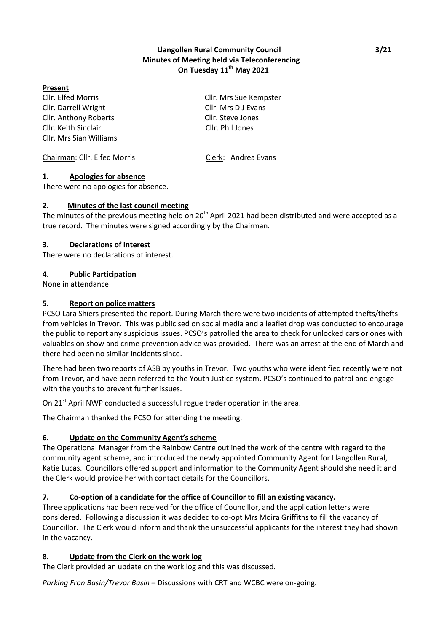## **Llangollen Rural Community Council 3/21 Minutes of Meeting held via Teleconferencing On Tuesday 11th May 2021**

## **Present**

Cllr. Elfed Morris Cllr. Mrs Sue Kempster Cllr. Darrell Wright Cllr. Mrs D J Evans Cllr. Anthony Roberts Cllr. Steve Jones Cllr. Keith Sinclair Cllr. Phil Jones Cllr. Mrs Sian Williams

Chairman: Cllr. Elfed Morris Clerk: Andrea Evans

## **1. Apologies for absence**

There were no apologies for absence.

## **2. Minutes of the last council meeting**

The minutes of the previous meeting held on 20<sup>th</sup> April 2021 had been distributed and were accepted as a true record. The minutes were signed accordingly by the Chairman.

## **3. Declarations of Interest**

There were no declarations of interest.

## **4. Public Participation**

None in attendance.

## **5. Report on police matters**

PCSO Lara Shiers presented the report. During March there were two incidents of attempted thefts/thefts from vehicles in Trevor. This was publicised on social media and a leaflet drop was conducted to encourage the public to report any suspicious issues. PCSO's patrolled the area to check for unlocked cars or ones with valuables on show and crime prevention advice was provided. There was an arrest at the end of March and there had been no similar incidents since.

There had been two reports of ASB by youths in Trevor. Two youths who were identified recently were not from Trevor, and have been referred to the Youth Justice system. PCSO's continued to patrol and engage with the youths to prevent further issues.

On 21<sup>st</sup> April NWP conducted a successful rogue trader operation in the area.

The Chairman thanked the PCSO for attending the meeting.

## **6. Update on the Community Agent's scheme**

The Operational Manager from the Rainbow Centre outlined the work of the centre with regard to the community agent scheme, and introduced the newly appointed Community Agent for Llangollen Rural, Katie Lucas. Councillors offered support and information to the Community Agent should she need it and the Clerk would provide her with contact details for the Councillors.

## **7. Co-option of a candidate for the office of Councillor to fill an existing vacancy.**

Three applications had been received for the office of Councillor, and the application letters were considered. Following a discussion it was decided to co-opt Mrs Moira Griffiths to fill the vacancy of Councillor. The Clerk would inform and thank the unsuccessful applicants for the interest they had shown in the vacancy.

## **8. Update from the Clerk on the work log**

The Clerk provided an update on the work log and this was discussed.

*Parking Fron Basin/Trevor Basin* – Discussions with CRT and WCBC were on-going.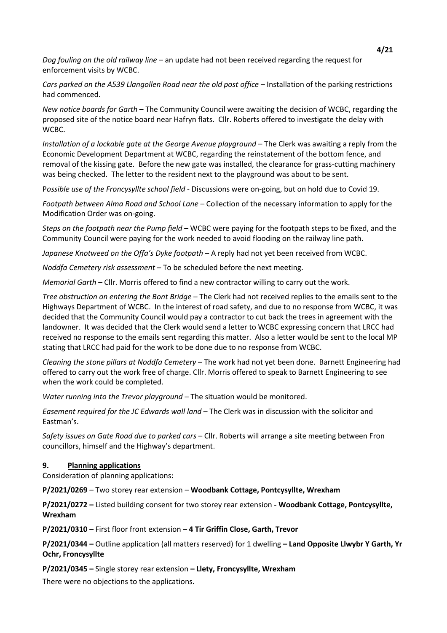*Dog fouling on the old railway line* – an update had not been received regarding the request for enforcement visits by WCBC.

*Cars parked on the A539 Llangollen Road near the old post office* – Installation of the parking restrictions had commenced.

*New notice boards for Garth* – The Community Council were awaiting the decision of WCBC, regarding the proposed site of the notice board near Hafryn flats. Cllr. Roberts offered to investigate the delay with WCBC.

*Installation of a lockable gate at the George Avenue playground* – The Clerk was awaiting a reply from the Economic Development Department at WCBC, regarding the reinstatement of the bottom fence, and removal of the kissing gate. Before the new gate was installed, the clearance for grass-cutting machinery was being checked. The letter to the resident next to the playground was about to be sent.

P*ossible use of the Froncysyllte school field* - Discussions were on-going, but on hold due to Covid 19.

*Footpath between Alma Road and School Lane* – Collection of the necessary information to apply for the Modification Order was on-going.

*Steps on the footpath near the Pump field* – WCBC were paying for the footpath steps to be fixed, and the Community Council were paying for the work needed to avoid flooding on the railway line path.

*Japanese Knotweed on the Offa's Dyke footpath* – A reply had not yet been received from WCBC.

*Noddfa Cemetery risk assessment –* To be scheduled before the next meeting.

*Memorial Garth* – Cllr. Morris offered to find a new contractor willing to carry out the work.

*Tree obstruction on entering the Bont Bridge* – The Clerk had not received replies to the emails sent to the Highways Department of WCBC. In the interest of road safety, and due to no response from WCBC, it was decided that the Community Council would pay a contractor to cut back the trees in agreement with the landowner. It was decided that the Clerk would send a letter to WCBC expressing concern that LRCC had received no response to the emails sent regarding this matter. Also a letter would be sent to the local MP stating that LRCC had paid for the work to be done due to no response from WCBC.

*Cleaning the stone pillars at Noddfa Cemetery* – The work had not yet been done. Barnett Engineering had offered to carry out the work free of charge. Cllr. Morris offered to speak to Barnett Engineering to see when the work could be completed.

*Water running into the Trevor playground* – The situation would be monitored.

*Easement required for the JC Edwards wall land* – The Clerk was in discussion with the solicitor and Eastman's.

*Safety issues on Gate Road due to parked cars* – Cllr. Roberts will arrange a site meeting between Fron councillors, himself and the Highway's department.

#### **9. Planning applications**

Consideration of planning applications:

**P/2021/0269** – Two storey rear extension – **Woodbank Cottage, Pontcysyllte, Wrexham**

**P/2021/0272 –** Listed building consent for two storey rear extension **- Woodbank Cottage, Pontcysyllte, Wrexham**

**P/2021/0310 –** First floor front extension **– 4 Tir Griffin Close, Garth, Trevor**

**P/2021/0344 –** Outline application (all matters reserved) for 1 dwelling **– Land Opposite Llwybr Y Garth, Yr Ochr, Froncysyllte**

**P/2021/0345 –** Single storey rear extension **– Llety, Froncysyllte, Wrexham**

There were no objections to the applications.